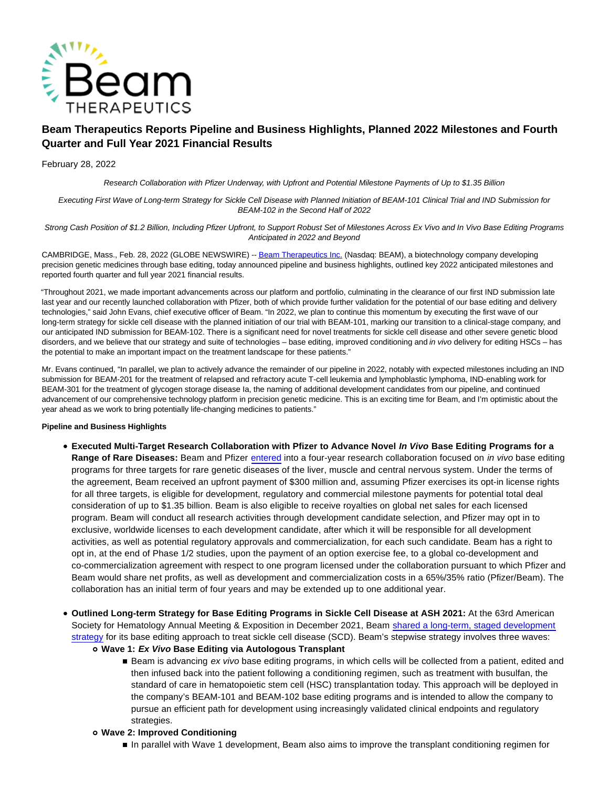

# **Beam Therapeutics Reports Pipeline and Business Highlights, Planned 2022 Milestones and Fourth Quarter and Full Year 2021 Financial Results**

February 28, 2022

Research Collaboration with Pfizer Underway, with Upfront and Potential Milestone Payments of Up to \$1.35 Billion

Executing First Wave of Long-term Strategy for Sickle Cell Disease with Planned Initiation of BEAM-101 Clinical Trial and IND Submission for BEAM-102 in the Second Half of 2022

Strong Cash Position of \$1.2 Billion, Including Pfizer Upfront, to Support Robust Set of Milestones Across Ex Vivo and In Vivo Base Editing Programs Anticipated in 2022 and Beyond

CAMBRIDGE, Mass., Feb. 28, 2022 (GLOBE NEWSWIRE) -[- Beam Therapeutics Inc. \(](https://www.globenewswire.com/Tracker?data=13x4OtuwjDxd34ilRo_mbp78mr8HQP3ByFC0nAAUeCZWKtskO0L8WwJTNqAze-WbvrVSPFFLpVutc7BLvei9EsUhLqvcRTQAi7gqy6wpg4M=)Nasdaq: BEAM), a biotechnology company developing precision genetic medicines through base editing, today announced pipeline and business highlights, outlined key 2022 anticipated milestones and reported fourth quarter and full year 2021 financial results.

"Throughout 2021, we made important advancements across our platform and portfolio, culminating in the clearance of our first IND submission late last year and our recently launched collaboration with Pfizer, both of which provide further validation for the potential of our base editing and delivery technologies," said John Evans, chief executive officer of Beam. "In 2022, we plan to continue this momentum by executing the first wave of our long-term strategy for sickle cell disease with the planned initiation of our trial with BEAM-101, marking our transition to a clinical-stage company, and our anticipated IND submission for BEAM-102. There is a significant need for novel treatments for sickle cell disease and other severe genetic blood disorders, and we believe that our strategy and suite of technologies – base editing, improved conditioning and in vivo delivery for editing HSCs – has the potential to make an important impact on the treatment landscape for these patients."

Mr. Evans continued, "In parallel, we plan to actively advance the remainder of our pipeline in 2022, notably with expected milestones including an IND submission for BEAM-201 for the treatment of relapsed and refractory acute T-cell leukemia and lymphoblastic lymphoma, IND-enabling work for BEAM-301 for the treatment of glycogen storage disease Ia, the naming of additional development candidates from our pipeline, and continued advancement of our comprehensive technology platform in precision genetic medicine. This is an exciting time for Beam, and I'm optimistic about the year ahead as we work to bring potentially life-changing medicines to patients."

# **Pipeline and Business Highlights**

- **Executed Multi-Target Research Collaboration with Pfizer to Advance Novel In Vivo Base Editing Programs for a Range of Rare Diseases:** Beam and Pfizer [entered i](https://investors.beamtx.com/news-releases/news-release-details/pfizer-and-beam-enter-exclusive-multi-target-research)nto a four-year research collaboration focused on in vivo base editing programs for three targets for rare genetic diseases of the liver, muscle and central nervous system. Under the terms of the agreement, Beam received an upfront payment of \$300 million and, assuming Pfizer exercises its opt-in license rights for all three targets, is eligible for development, regulatory and commercial milestone payments for potential total deal consideration of up to \$1.35 billion. Beam is also eligible to receive royalties on global net sales for each licensed program. Beam will conduct all research activities through development candidate selection, and Pfizer may opt in to exclusive, worldwide licenses to each development candidate, after which it will be responsible for all development activities, as well as potential regulatory approvals and commercialization, for each such candidate. Beam has a right to opt in, at the end of Phase 1/2 studies, upon the payment of an option exercise fee, to a global co-development and co-commercialization agreement with respect to one program licensed under the collaboration pursuant to which Pfizer and Beam would share net profits, as well as development and commercialization costs in a 65%/35% ratio (Pfizer/Beam). The collaboration has an initial term of four years and may be extended up to one additional year.
- **Outlined Long-term Strategy for Base Editing Programs in Sickle Cell Disease at ASH 2021:** At the 63rd American Society for Hematology Annual Meeting & Exposition in December 2021, Beam [shared a long-term, staged development](https://investors.beamtx.com/news-releases/news-release-details/beam-therapeutics-outlines-long-term-strategy-base-editing) strategy for its base editing approach to treat sickle cell disease (SCD). Beam's stepwise strategy involves three waves:
	- **Wave 1: Ex Vivo Base Editing via Autologous Transplant**
		- Beam is advancing ex vivo base editing programs, in which cells will be collected from a patient, edited and then infused back into the patient following a conditioning regimen, such as treatment with busulfan, the standard of care in hematopoietic stem cell (HSC) transplantation today. This approach will be deployed in the company's BEAM-101 and BEAM-102 base editing programs and is intended to allow the company to pursue an efficient path for development using increasingly validated clinical endpoints and regulatory strategies.

# **Wave 2: Improved Conditioning**

In parallel with Wave 1 development, Beam also aims to improve the transplant conditioning regimen for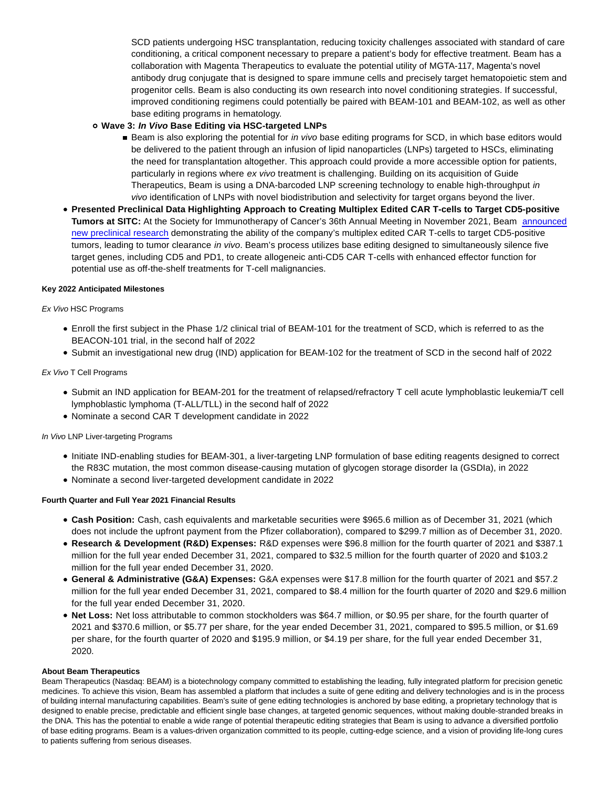SCD patients undergoing HSC transplantation, reducing toxicity challenges associated with standard of care conditioning, a critical component necessary to prepare a patient's body for effective treatment. Beam has a collaboration with Magenta Therapeutics to evaluate the potential utility of MGTA-117, Magenta's novel antibody drug conjugate that is designed to spare immune cells and precisely target hematopoietic stem and progenitor cells. Beam is also conducting its own research into novel conditioning strategies. If successful, improved conditioning regimens could potentially be paired with BEAM-101 and BEAM-102, as well as other base editing programs in hematology.

# **Wave 3: In Vivo Base Editing via HSC-targeted LNPs**

- Beam is also exploring the potential for in vivo base editing programs for SCD, in which base editors would be delivered to the patient through an infusion of lipid nanoparticles (LNPs) targeted to HSCs, eliminating the need for transplantation altogether. This approach could provide a more accessible option for patients, particularly in regions where ex vivo treatment is challenging. Building on its acquisition of Guide Therapeutics, Beam is using a DNA-barcoded LNP screening technology to enable high-throughput in vivo identification of LNPs with novel biodistribution and selectivity for target organs beyond the liver.
- **Presented Preclinical Data Highlighting Approach to Creating Multiplex Edited CAR T-cells to Target CD5-positive Tumors at SITC:** At the Society for Immunotherapy of Cancer's 36th Annual Meeting in November 2021, Beam [announced](https://investors.beamtx.com/news-releases/news-release-details/beam-therapeutics-reports-preclinical-data-highlighting) new preclinical research demonstrating the ability of the company's multiplex edited CAR T-cells to target CD5-positive tumors, leading to tumor clearance in vivo. Beam's process utilizes base editing designed to simultaneously silence five target genes, including CD5 and PD1, to create allogeneic anti-CD5 CAR T-cells with enhanced effector function for potential use as off-the-shelf treatments for T-cell malignancies.

## **Key 2022 Anticipated Milestones**

Ex Vivo HSC Programs

- Enroll the first subject in the Phase 1/2 clinical trial of BEAM-101 for the treatment of SCD, which is referred to as the BEACON-101 trial, in the second half of 2022
- Submit an investigational new drug (IND) application for BEAM-102 for the treatment of SCD in the second half of 2022

## Ex Vivo T Cell Programs

- Submit an IND application for BEAM-201 for the treatment of relapsed/refractory T cell acute lymphoblastic leukemia/T cell lymphoblastic lymphoma (T-ALL/TLL) in the second half of 2022
- Nominate a second CAR T development candidate in 2022

# In Vivo LNP Liver-targeting Programs

- Initiate IND-enabling studies for BEAM-301, a liver-targeting LNP formulation of base editing reagents designed to correct the R83C mutation, the most common disease-causing mutation of glycogen storage disorder Ia (GSDIa), in 2022
- Nominate a second liver-targeted development candidate in 2022

### **Fourth Quarter and Full Year 2021 Financial Results**

- **Cash Position:** Cash, cash equivalents and marketable securities were \$965.6 million as of December 31, 2021 (which does not include the upfront payment from the Pfizer collaboration), compared to \$299.7 million as of December 31, 2020.
- **Research & Development (R&D) Expenses:** R&D expenses were \$96.8 million for the fourth quarter of 2021 and \$387.1 million for the full year ended December 31, 2021, compared to \$32.5 million for the fourth quarter of 2020 and \$103.2 million for the full year ended December 31, 2020.
- **General & Administrative (G&A) Expenses:** G&A expenses were \$17.8 million for the fourth quarter of 2021 and \$57.2 million for the full year ended December 31, 2021, compared to \$8.4 million for the fourth quarter of 2020 and \$29.6 million for the full year ended December 31, 2020.
- **Net Loss:** Net loss attributable to common stockholders was \$64.7 million, or \$0.95 per share, for the fourth quarter of 2021 and \$370.6 million, or \$5.77 per share, for the year ended December 31, 2021, compared to \$95.5 million, or \$1.69 per share, for the fourth quarter of 2020 and \$195.9 million, or \$4.19 per share, for the full year ended December 31, 2020.

### **About Beam Therapeutics**

Beam Therapeutics (Nasdaq: BEAM) is a biotechnology company committed to establishing the leading, fully integrated platform for precision genetic medicines. To achieve this vision, Beam has assembled a platform that includes a suite of gene editing and delivery technologies and is in the process of building internal manufacturing capabilities. Beam's suite of gene editing technologies is anchored by base editing, a proprietary technology that is designed to enable precise, predictable and efficient single base changes, at targeted genomic sequences, without making double-stranded breaks in the DNA. This has the potential to enable a wide range of potential therapeutic editing strategies that Beam is using to advance a diversified portfolio of base editing programs. Beam is a values-driven organization committed to its people, cutting-edge science, and a vision of providing life-long cures to patients suffering from serious diseases.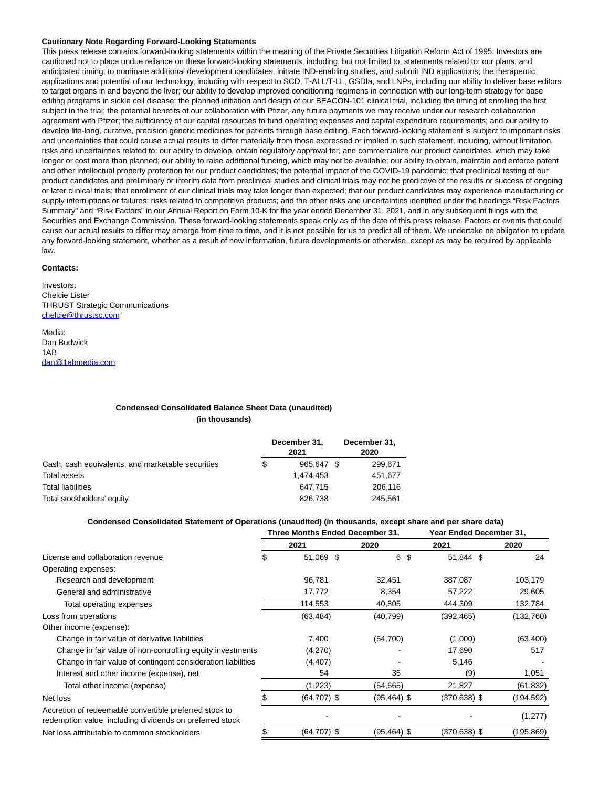#### **Cautionary Note Regarding Forward-Looking Statements**

This press release contains forward-looking statements within the meaning of the Private Securities Litigation Reform Act of 1995. Investors are cautioned not to place undue reliance on these forward-looking statements, including, but not limited to, statements related to: our plans, and anticipated timing, to nominate additional development candidates, initiate IND-enabling studies, and submit IND applications; the therapeutic applications and potential of our technology, including with respect to SCD, T-ALL/T-LL, GSDIa, and LNPs, including our ability to deliver base editors to target organs in and beyond the liver; our ability to develop improved conditioning regimens in connection with our long-term strategy for base editing programs in sickle cell disease; the planned initiation and design of our BEACON-101 clinical trial, including the timing of enrolling the first subject in the trial; the potential benefits of our collaboration with Pfizer, any future payments we may receive under our research collaboration agreement with Pfizer; the sufficiency of our capital resources to fund operating expenses and capital expenditure requirements; and our ability to develop life-long, curative, precision genetic medicines for patients through base editing. Each forward-looking statement is subject to important risks and uncertainties that could cause actual results to differ materially from those expressed or implied in such statement, including, without limitation, risks and uncertainties related to: our ability to develop, obtain regulatory approval for, and commercialize our product candidates, which may take longer or cost more than planned; our ability to raise additional funding, which may not be available; our ability to obtain, maintain and enforce patent and other intellectual property protection for our product candidates; the potential impact of the COVID-19 pandemic; that preclinical testing of our product candidates and preliminary or interim data from preclinical studies and clinical trials may not be predictive of the results or success of ongoing or later clinical trials; that enrollment of our clinical trials may take longer than expected; that our product candidates may experience manufacturing or supply interruptions or failures; risks related to competitive products; and the other risks and uncertainties identified under the headings "Risk Factors Summary" and "Risk Factors" in our Annual Report on Form 10-K for the year ended December 31, 2021, and in any subsequent filings with the Securities and Exchange Commission. These forward-looking statements speak only as of the date of this press release. Factors or events that could cause our actual results to differ may emerge from time to time, and it is not possible for us to predict all of them. We undertake no obligation to update any forward-looking statement, whether as a result of new information, future developments or otherwise, except as may be required by applicable law.

#### **Contacts:**

Investors: Chelcie Lister THRUST Strategic Communications [chelcie@thrustsc.com](https://www.globenewswire.com/Tracker?data=rrUM8PrD4VcZY5R3VvL0L4ZrlqvUo80i-tSh7igtUP6MCNobV9tdVAQVsaecy9bQ6P_gqQ3Fyf8VqTSNKywNpH-QFigOPEYR5ZlBoejWbYs=)

Media: Dan Budwick 1AB [dan@1abmedia.com](https://www.globenewswire.com/Tracker?data=If3oFkFnTmYrSyhWMeBoH2MC4TqA9XKoPE5TioZRgerWmAOcksV7oq1eXOiAcSiZqQOkLBpq-v6_m2Zq0kp7HA==)

### **Condensed Consolidated Balance Sheet Data (unaudited) (in thousands)**

|                                                   | December 31,<br>2021 |            |  | December 31,<br>2020 |  |
|---------------------------------------------------|----------------------|------------|--|----------------------|--|
| Cash, cash equivalents, and marketable securities | \$                   | 965.647 \$ |  | 299,671              |  |
| Total assets                                      |                      | 1,474,453  |  | 451,677              |  |
| Total liabilities                                 |                      | 647,715    |  | 206,116              |  |
| Total stockholders' equity                        |                      | 826,738    |  | 245.561              |  |

#### **Condensed Consolidated Statement of Operations (unaudited) (in thousands, except share and per share data)**

|                                                                                                                    | Three Months Ended December 31, |                | Year Ended December 31, |                 |           |
|--------------------------------------------------------------------------------------------------------------------|---------------------------------|----------------|-------------------------|-----------------|-----------|
|                                                                                                                    |                                 | 2021           | 2020                    | 2021            | 2020      |
| License and collaboration revenue                                                                                  | \$                              | 51,069 \$      | 6 \$                    | 51,844 \$       | 24        |
| Operating expenses:                                                                                                |                                 |                |                         |                 |           |
| Research and development                                                                                           |                                 | 96,781         | 32,451                  | 387,087         | 103,179   |
| General and administrative                                                                                         |                                 | 17,772         | 8,354                   | 57,222          | 29,605    |
| Total operating expenses                                                                                           |                                 | 114,553        | 40,805                  | 444,309         | 132,784   |
| Loss from operations                                                                                               |                                 | (63, 484)      | (40, 799)               | (392, 465)      | (132,760) |
| Other income (expense):                                                                                            |                                 |                |                         |                 |           |
| Change in fair value of derivative liabilities                                                                     |                                 | 7,400          | (54,700)                | (1,000)         | (63, 400) |
| Change in fair value of non-controlling equity investments                                                         |                                 | (4,270)        |                         | 17,690          | 517       |
| Change in fair value of contingent consideration liabilities                                                       |                                 | (4, 407)       |                         | 5,146           |           |
| Interest and other income (expense), net                                                                           |                                 | 54             | 35                      | (9)             | 1,051     |
| Total other income (expense)                                                                                       |                                 | (1,223)        | (54, 665)               | 21,827          | (61, 832) |
| Net loss                                                                                                           |                                 | $(64, 707)$ \$ | $(95, 464)$ \$          | $(370, 638)$ \$ | (194,592) |
| Accretion of redeemable convertible preferred stock to<br>redemption value, including dividends on preferred stock |                                 |                |                         |                 | (1, 277)  |
| Net loss attributable to common stockholders                                                                       | \$                              | $(64, 707)$ \$ | $(95, 464)$ \$          | (370,638) \$    | (195,869) |